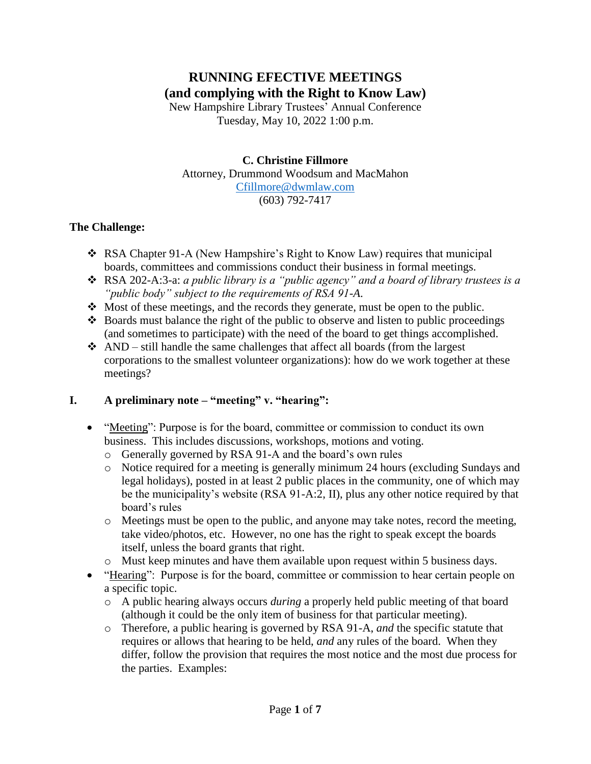# **RUNNING EFECTIVE MEETINGS (and complying with the Right to Know Law)**

New Hampshire Library Trustees' Annual Conference Tuesday, May 10, 2022 1:00 p.m.

### **C. Christine Fillmore**

Attorney, Drummond Woodsum and MacMahon

#### [Cfillmore@dwmlaw.com](mailto:Cfillmore@dwmlaw.com) (603) 792-7417

### **The Challenge:**

- RSA Chapter 91-A (New Hampshire's Right to Know Law) requires that municipal boards, committees and commissions conduct their business in formal meetings.
- RSA 202-A:3-a: *a public library is a "public agency" and a board of library trustees is a "public body" subject to the requirements of RSA 91-A*.
- $\div$  Most of these meetings, and the records they generate, must be open to the public.
- $\triangle$  Boards must balance the right of the public to observe and listen to public proceedings (and sometimes to participate) with the need of the board to get things accomplished.
- $\triangle$  AND still handle the same challenges that affect all boards (from the largest corporations to the smallest volunteer organizations): how do we work together at these meetings?

### **I. A preliminary note – "meeting" v. "hearing":**

- "Meeting": Purpose is for the board, committee or commission to conduct its own business. This includes discussions, workshops, motions and voting.
	- o Generally governed by RSA 91-A and the board's own rules
	- o Notice required for a meeting is generally minimum 24 hours (excluding Sundays and legal holidays), posted in at least 2 public places in the community, one of which may be the municipality's website (RSA 91-A:2, II), plus any other notice required by that board's rules
	- $\circ$  Meetings must be open to the public, and anyone may take notes, record the meeting, take video/photos, etc. However, no one has the right to speak except the boards itself, unless the board grants that right.
	- o Must keep minutes and have them available upon request within 5 business days.
- "Hearing": Purpose is for the board, committee or commission to hear certain people on a specific topic.
	- o A public hearing always occurs *during* a properly held public meeting of that board (although it could be the only item of business for that particular meeting).
	- o Therefore, a public hearing is governed by RSA 91-A, *and* the specific statute that requires or allows that hearing to be held, *and* any rules of the board. When they differ, follow the provision that requires the most notice and the most due process for the parties. Examples: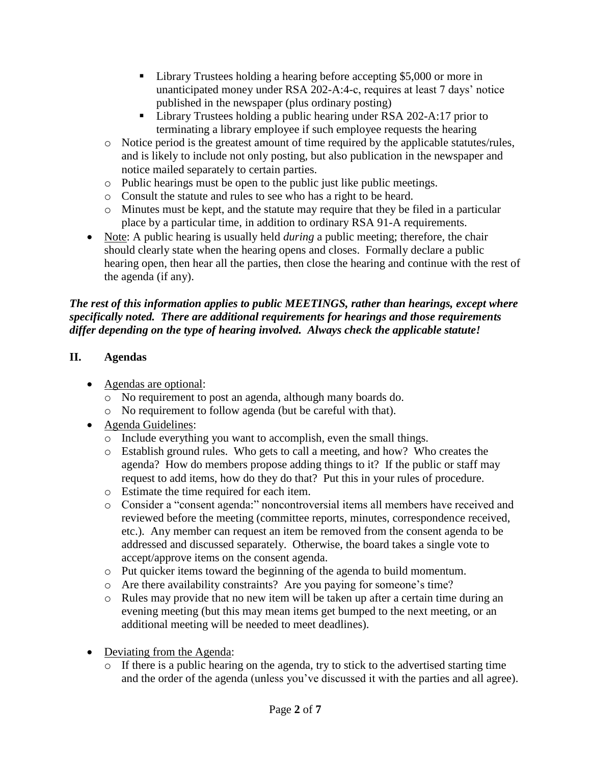- Library Trustees holding a hearing before accepting \$5,000 or more in unanticipated money under RSA 202-A:4-c, requires at least 7 days' notice published in the newspaper (plus ordinary posting)
- Library Trustees holding a public hearing under RSA 202-A:17 prior to terminating a library employee if such employee requests the hearing
- o Notice period is the greatest amount of time required by the applicable statutes/rules, and is likely to include not only posting, but also publication in the newspaper and notice mailed separately to certain parties.
- o Public hearings must be open to the public just like public meetings.
- o Consult the statute and rules to see who has a right to be heard.
- o Minutes must be kept, and the statute may require that they be filed in a particular place by a particular time, in addition to ordinary RSA 91-A requirements.
- Note: A public hearing is usually held *during* a public meeting; therefore, the chair should clearly state when the hearing opens and closes. Formally declare a public hearing open, then hear all the parties, then close the hearing and continue with the rest of the agenda (if any).

### *The rest of this information applies to public MEETINGS, rather than hearings, except where specifically noted. There are additional requirements for hearings and those requirements differ depending on the type of hearing involved. Always check the applicable statute!*

## **II. Agendas**

- Agendas are optional:
	- o No requirement to post an agenda, although many boards do.
	- o No requirement to follow agenda (but be careful with that).
- Agenda Guidelines:
	- o Include everything you want to accomplish, even the small things.
	- o Establish ground rules. Who gets to call a meeting, and how? Who creates the agenda? How do members propose adding things to it? If the public or staff may request to add items, how do they do that? Put this in your rules of procedure.
	- o Estimate the time required for each item.
	- o Consider a "consent agenda:" noncontroversial items all members have received and reviewed before the meeting (committee reports, minutes, correspondence received, etc.). Any member can request an item be removed from the consent agenda to be addressed and discussed separately. Otherwise, the board takes a single vote to accept/approve items on the consent agenda.
	- o Put quicker items toward the beginning of the agenda to build momentum.
	- o Are there availability constraints? Are you paying for someone's time?
	- o Rules may provide that no new item will be taken up after a certain time during an evening meeting (but this may mean items get bumped to the next meeting, or an additional meeting will be needed to meet deadlines).
- Deviating from the Agenda:
	- o If there is a public hearing on the agenda, try to stick to the advertised starting time and the order of the agenda (unless you've discussed it with the parties and all agree).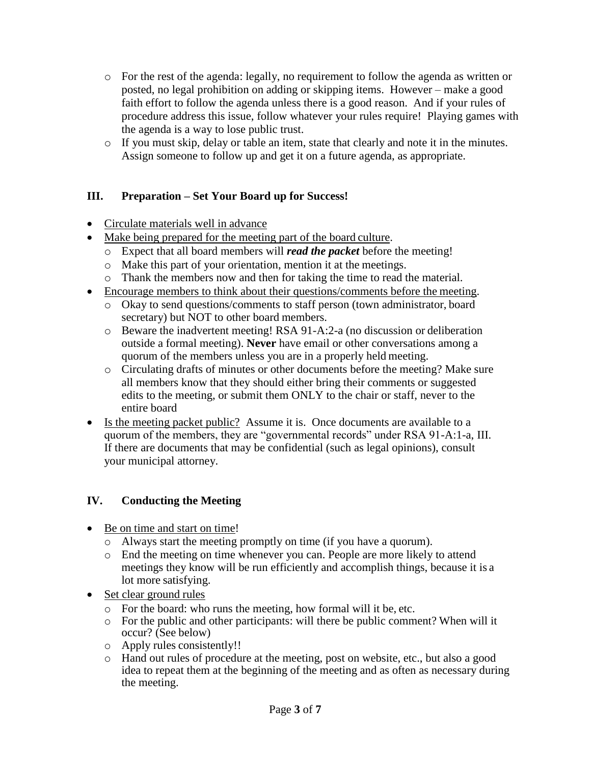- o For the rest of the agenda: legally, no requirement to follow the agenda as written or posted, no legal prohibition on adding or skipping items. However – make a good faith effort to follow the agenda unless there is a good reason. And if your rules of procedure address this issue, follow whatever your rules require! Playing games with the agenda is a way to lose public trust.
- o If you must skip, delay or table an item, state that clearly and note it in the minutes. Assign someone to follow up and get it on a future agenda, as appropriate.

### **III. Preparation – Set Your Board up for Success!**

- Circulate materials well in advance
- Make being prepared for the meeting part of the board culture.
	- o Expect that all board members will *read the packet* before the meeting!
	- o Make this part of your orientation, mention it at the meetings.
	- o Thank the members now and then for taking the time to read the material.
- Encourage members to think about their questions/comments before the meeting.
	- o Okay to send questions/comments to staff person (town administrator, board secretary) but NOT to other board members.
	- o Beware the inadvertent meeting! RSA 91-A:2-a (no discussion or deliberation outside a formal meeting). **Never** have email or other conversations among a quorum of the members unless you are in a properly held meeting.
	- o Circulating drafts of minutes or other documents before the meeting? Make sure all members know that they should either bring their comments or suggested edits to the meeting, or submit them ONLY to the chair or staff, never to the entire board
- Is the meeting packet public? Assume it is. Once documents are available to a quorum of the members, they are "governmental records" under RSA 91-A:1-a, III. If there are documents that may be confidential (such as legal opinions), consult your municipal attorney.

### **IV. Conducting the Meeting**

- Be on time and start on time!
	- o Always start the meeting promptly on time (if you have a quorum).
	- o End the meeting on time whenever you can. People are more likely to attend meetings they know will be run efficiently and accomplish things, because it is a lot more satisfying.
- Set clear ground rules
	- o For the board: who runs the meeting, how formal will it be, etc.
	- o For the public and other participants: will there be public comment? When will it occur? (See below)
	- o Apply rules consistently!!
	- o Hand out rules of procedure at the meeting, post on website, etc., but also a good idea to repeat them at the beginning of the meeting and as often as necessary during the meeting.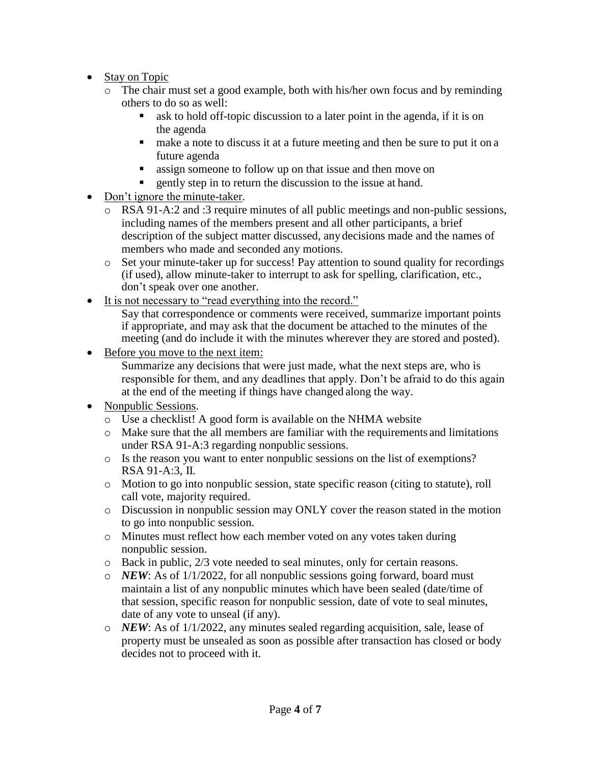- Stay on Topic
	- o The chair must set a good example, both with his/her own focus and by reminding others to do so as well:
		- ask to hold off-topic discussion to a later point in the agenda, if it is on the agenda
		- make a note to discuss it at a future meeting and then be sure to put it on a future agenda
		- **assign someone to follow up on that issue and then move on**
		- gently step in to return the discussion to the issue at hand.
- Don't ignore the minute-taker.
	- o RSA 91-A:2 and :3 require minutes of all public meetings and non-public sessions, including names of the members present and all other participants, a brief description of the subject matter discussed, anydecisions made and the names of members who made and seconded any motions.
	- o Set your minute-taker up for success! Pay attention to sound quality for recordings (if used), allow minute-taker to interrupt to ask for spelling, clarification, etc., don't speak over one another.
- It is not necessary to "read everything into the record."

Say that correspondence or comments were received, summarize important points if appropriate, and may ask that the document be attached to the minutes of the meeting (and do include it with the minutes wherever they are stored and posted).

Before you move to the next item:

Summarize any decisions that were just made, what the next steps are, who is responsible for them, and any deadlines that apply. Don't be afraid to do this again at the end of the meeting if things have changed along the way.

- Nonpublic Sessions.
	- o Use a checklist! A good form is available on the NHMA website
	- o Make sure that the all members are familiar with the requirements and limitations under RSA 91-A:3 regarding nonpublic sessions.
	- o Is the reason you want to enter nonpublic sessions on the list of exemptions? RSA 91-A:3, II.
	- o Motion to go into nonpublic session, state specific reason (citing to statute), roll call vote, majority required.
	- o Discussion in nonpublic session may ONLY cover the reason stated in the motion to go into nonpublic session.
	- o Minutes must reflect how each member voted on any votes taken during nonpublic session.
	- o Back in public, 2/3 vote needed to seal minutes, only for certain reasons.
	- o *NEW*: As of 1/1/2022, for all nonpublic sessions going forward, board must maintain a list of any nonpublic minutes which have been sealed (date/time of that session, specific reason for nonpublic session, date of vote to seal minutes, date of any vote to unseal (if any).
	- o *NEW*: As of 1/1/2022, any minutes sealed regarding acquisition, sale, lease of property must be unsealed as soon as possible after transaction has closed or body decides not to proceed with it.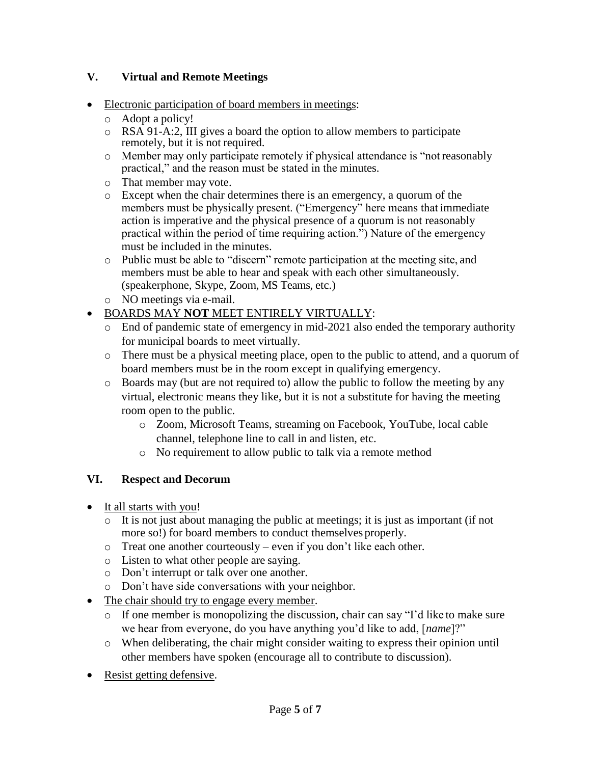### **V. Virtual and Remote Meetings**

- Electronic participation of board members in meetings:
	- o Adopt a policy!
	- o RSA 91-A:2, III gives a board the option to allow members to participate remotely, but it is not required.
	- o Member may only participate remotely if physical attendance is "not reasonably practical," and the reason must be stated in the minutes.
	- o That member may vote.
	- o Except when the chair determines there is an emergency, a quorum of the members must be physically present. ("Emergency" here means that immediate action is imperative and the physical presence of a quorum is not reasonably practical within the period of time requiring action.") Nature of the emergency must be included in the minutes.
	- o Public must be able to "discern" remote participation at the meeting site, and members must be able to hear and speak with each other simultaneously. (speakerphone, Skype, Zoom, MS Teams, etc.)
	- o NO meetings via e-mail.
- BOARDS MAY **NOT** MEET ENTIRELY VIRTUALLY:
	- o End of pandemic state of emergency in mid-2021 also ended the temporary authority for municipal boards to meet virtually.
	- o There must be a physical meeting place, open to the public to attend, and a quorum of board members must be in the room except in qualifying emergency.
	- o Boards may (but are not required to) allow the public to follow the meeting by any virtual, electronic means they like, but it is not a substitute for having the meeting room open to the public.
		- o Zoom, Microsoft Teams, streaming on Facebook, YouTube, local cable channel, telephone line to call in and listen, etc.
		- o No requirement to allow public to talk via a remote method

### **VI. Respect and Decorum**

- It all starts with you!
	- o It is not just about managing the public at meetings; it is just as important (if not more so!) for board members to conduct themselves properly.
	- o Treat one another courteously even if you don't like each other.
	- o Listen to what other people are saying.
	- o Don't interrupt or talk over one another.
	- o Don't have side conversations with your neighbor.
- The chair should try to engage every member.
	- o If one member is monopolizing the discussion, chair can say "I'd like to make sure we hear from everyone, do you have anything you'd like to add, [*name*]?"
	- o When deliberating, the chair might consider waiting to express their opinion until other members have spoken (encourage all to contribute to discussion).
- Resist getting defensive.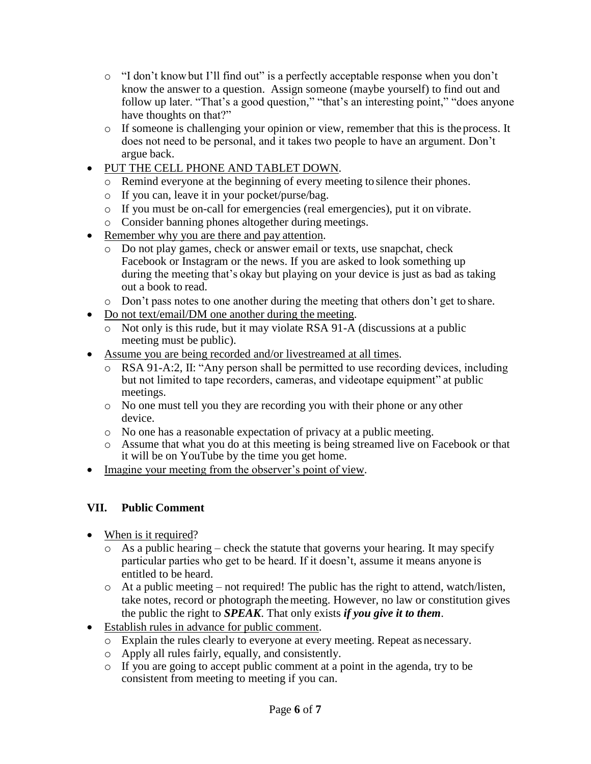- o "I don't knowbut I'll find out" is a perfectly acceptable response when you don't know the answer to a question. Assign someone (maybe yourself) to find out and follow up later. "That's a good question," "that's an interesting point," "does anyone have thoughts on that?"
- o If someone is challenging your opinion or view, remember that this is theprocess. It does not need to be personal, and it takes two people to have an argument. Don't argue back.
- PUT THE CELL PHONE AND TABLET DOWN.
	- o Remind everyone at the beginning of every meeting to silence their phones.
	- o If you can, leave it in your pocket/purse/bag.
	- o If you must be on-call for emergencies (real emergencies), put it on vibrate.
	- o Consider banning phones altogether during meetings.
- Remember why you are there and pay attention.
	- o Do not play games, check or answer email or texts, use snapchat, check Facebook or Instagram or the news. If you are asked to look something up during the meeting that's okay but playing on your device is just as bad as taking out a book to read.
	- o Don't pass notes to one another during the meeting that others don't get to share.
- Do not text/email/DM one another during the meeting.
	- o Not only is this rude, but it may violate RSA 91-A (discussions at a public meeting must be public).
- Assume you are being recorded and/or livestreamed at all times.
	- o RSA 91-A:2, II: "Any person shall be permitted to use recording devices, including but not limited to tape recorders, cameras, and videotape equipment" at public meetings.
	- o No one must tell you they are recording you with their phone or any other device.
	- o No one has a reasonable expectation of privacy at a public meeting.
	- o Assume that what you do at this meeting is being streamed live on Facebook or that it will be on YouTube by the time you get home.
- Imagine your meeting from the observer's point of view.

### **VII. Public Comment**

- When is it required?
	- o As a public hearing check the statute that governs your hearing. It may specify particular parties who get to be heard. If it doesn't, assume it means anyone is entitled to be heard.
	- o At a public meeting not required! The public has the right to attend, watch/listen, take notes, record or photograph themeeting. However, no law or constitution gives the public the right to *SPEAK*. That only exists *if you give it to them*.
- Establish rules in advance for public comment.
	- o Explain the rules clearly to everyone at every meeting. Repeat as necessary.
	- o Apply all rules fairly, equally, and consistently.
	- o If you are going to accept public comment at a point in the agenda, try to be consistent from meeting to meeting if you can.